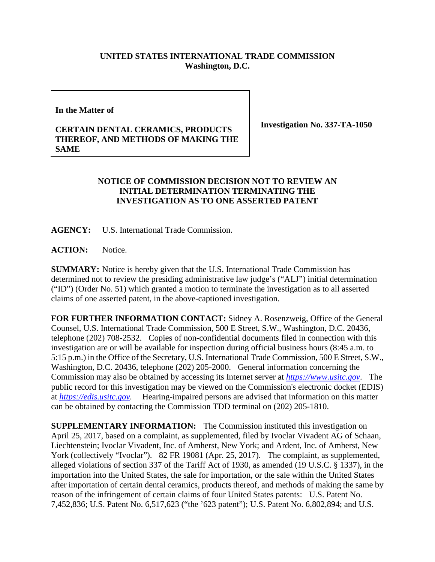## **UNITED STATES INTERNATIONAL TRADE COMMISSION Washington, D.C.**

**In the Matter of**

## **CERTAIN DENTAL CERAMICS, PRODUCTS THEREOF, AND METHODS OF MAKING THE SAME**

**Investigation No. 337-TA-1050**

## **NOTICE OF COMMISSION DECISION NOT TO REVIEW AN INITIAL DETERMINATION TERMINATING THE INVESTIGATION AS TO ONE ASSERTED PATENT**

**AGENCY:** U.S. International Trade Commission.

ACTION: Notice.

**SUMMARY:** Notice is hereby given that the U.S. International Trade Commission has determined not to review the presiding administrative law judge's ("ALJ") initial determination ("ID") (Order No. 51) which granted a motion to terminate the investigation as to all asserted claims of one asserted patent, in the above-captioned investigation.

**FOR FURTHER INFORMATION CONTACT:** Sidney A. Rosenzweig, Office of the General Counsel, U.S. International Trade Commission, 500 E Street, S.W., Washington, D.C. 20436, telephone (202) 708-2532. Copies of non-confidential documents filed in connection with this investigation are or will be available for inspection during official business hours (8:45 a.m. to 5:15 p.m.) in the Office of the Secretary, U.S. International Trade Commission, 500 E Street, S.W., Washington, D.C. 20436, telephone (202) 205-2000. General information concerning the Commission may also be obtained by accessing its Internet server at *[https://www.usitc.gov](https://www.usitc.gov/)*. The public record for this investigation may be viewed on the Commission's electronic docket (EDIS) at *[https://edis.usitc.gov.](https://edis.usitc.gov/)* Hearing-impaired persons are advised that information on this matter can be obtained by contacting the Commission TDD terminal on (202) 205-1810.

**SUPPLEMENTARY INFORMATION:** The Commission instituted this investigation on April 25, 2017, based on a complaint, as supplemented, filed by Ivoclar Vivadent AG of Schaan, Liechtenstein; Ivoclar Vivadent, Inc. of Amherst, New York; and Ardent, Inc. of Amherst, New York (collectively "Ivoclar"). 82 FR 19081 (Apr. 25, 2017). The complaint, as supplemented, alleged violations of section 337 of the Tariff Act of 1930, as amended (19 U.S.C. § 1337), in the importation into the United States, the sale for importation, or the sale within the United States after importation of certain dental ceramics, products thereof, and methods of making the same by reason of the infringement of certain claims of four United States patents: U.S. Patent No. 7,452,836; U.S. Patent No. 6,517,623 ("the '623 patent"); U.S. Patent No. 6,802,894; and U.S.